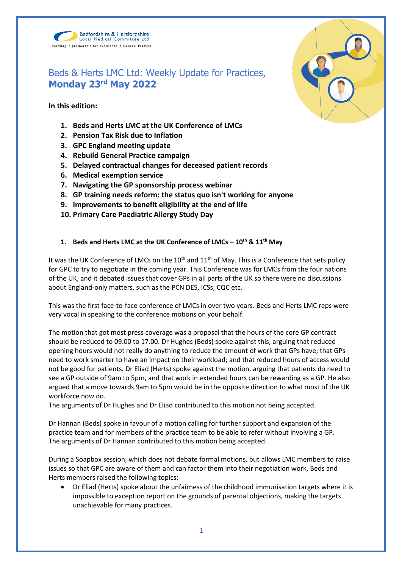

# Beds & Herts LMC Ltd: Weekly Update for Practices, **Monday 23rd May 2022**

**In this edition:**

- **1. Beds and Herts LMC at the UK Conference of LMCs**
- **2. Pension Tax Risk due to Inflation**
- **3. GPC England meeting update**
- **4. Rebuild General Practice campaign**
- **5. Delayed contractual changes for deceased patient records**
- **6. Medical exemption service**
- **7. Navigating the GP sponsorship process webinar**
- **8. GP training needs reform: the status quo isn't working for anyone**
- **9. Improvements to benefit eligibility at the end of life**
- **10. Primary Care Paediatric Allergy Study Day**

# **1. Beds and Herts LMC at the UK Conference of LMCs – 10th & 11th May**

It was the UK Conference of LMCs on the  $10<sup>th</sup>$  and  $11<sup>th</sup>$  of May. This is a Conference that sets policy for GPC to try to negotiate in the coming year. This Conference was for LMCs from the four nations of the UK, and it debated issues that cover GPs in all parts of the UK so there were no discussions about England-only matters, such as the PCN DES, ICSs, CQC etc.

This was the first face-to-face conference of LMCs in over two years. Beds and Herts LMC reps were very vocal in speaking to the conference motions on your behalf.

The motion that got most press coverage was a proposal that the hours of the core GP contract should be reduced to 09.00 to 17.00. Dr Hughes (Beds) spoke against this, arguing that reduced opening hours would not really do anything to reduce the amount of work that GPs have; that GPs need to work smarter to have an impact on their workload; and that reduced hours of access would not be good for patients. Dr Eliad (Herts) spoke against the motion, arguing that patients do need to see a GP outside of 9am to 5pm, and that work in extended hours can be rewarding as a GP. He also argued that a move towards 9am to 5pm would be in the opposite direction to what most of the UK workforce now do.

The arguments of Dr Hughes and Dr Eliad contributed to this motion not being accepted.

Dr Hannan (Beds) spoke in favour of a motion calling for further support and expansion of the practice team and for members of the practice team to be able to refer without involving a GP. The arguments of Dr Hannan contributed to this motion being accepted.

During a Soapbox session, which does not debate formal motions, but allows LMC members to raise issues so that GPC are aware of them and can factor them into their negotiation work, Beds and Herts members raised the following topics:

• Dr Eliad (Herts) spoke about the unfairness of the childhood immunisation targets where it is impossible to exception report on the grounds of parental objections, making the targets unachievable for many practices.

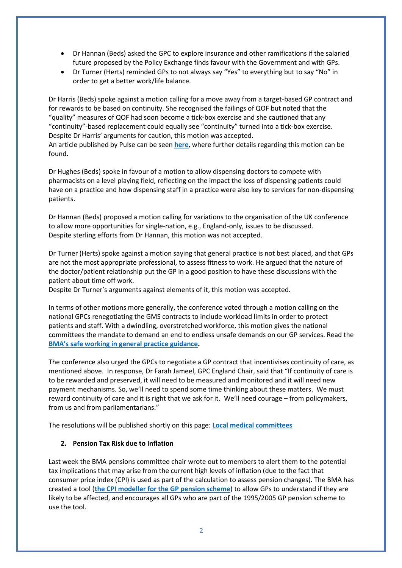- Dr Hannan (Beds) asked the GPC to explore insurance and other ramifications if the salaried future proposed by the Policy Exchange finds favour with the Government and with GPs.
- Dr Turner (Herts) reminded GPs to not always say "Yes" to everything but to say "No" in order to get a better work/life balance.

Dr Harris (Beds) spoke against a motion calling for a move away from a target-based GP contract and for rewards to be based on continuity. She recognised the failings of QOF but noted that the "quality" measures of QOF had soon become a tick-box exercise and she cautioned that any "continuity"-based replacement could equally see "continuity" turned into a tick-box exercise. Despite Dr Harris' arguments for caution, this motion was accepted. An article published by Pulse can be seen **[here](https://www.pulsetoday.co.uk/news/breaking-news/gpc-given-mandate-to-negotiate-gp-contract-that-rewards-continuity/)**, where further details regarding this motion can be found.

Dr Hughes (Beds) spoke in favour of a motion to allow dispensing doctors to compete with pharmacists on a level playing field, reflecting on the impact the loss of dispensing patients could have on a practice and how dispensing staff in a practice were also key to services for non-dispensing patients.

Dr Hannan (Beds) proposed a motion calling for variations to the organisation of the UK conference to allow more opportunities for single-nation, e.g., England-only, issues to be discussed. Despite sterling efforts from Dr Hannan, this motion was not accepted.

Dr Turner (Herts) spoke against a motion saying that general practice is not best placed, and that GPs are not the most appropriate professional, to assess fitness to work. He argued that the nature of the doctor/patient relationship put the GP in a good position to have these discussions with the patient about time off work.

Despite Dr Turner's arguments against elements of it, this motion was accepted.

In terms of other motions more generally, the conference voted through a motion calling on the national GPCs renegotiating the GMS contracts to include workload limits in order to protect patients and staff. With a dwindling, overstretched workforce, this motion gives the national committees the mandate to demand an end to endless unsafe demands on our GP services. Read the **[BMA's safe working in general practice guidance](https://www.bma.org.uk/advice-and-support/gp-practices/managing-workload/safe-working-in-general-practice).**

The conference also urged the GPCs to negotiate a GP contract that incentivises continuity of care, as mentioned above. In response, Dr Farah Jameel, GPC England Chair, said that "If continuity of care is to be rewarded and preserved, it will need to be measured and monitored and it will need new payment mechanisms. So, we'll need to spend some time thinking about these matters. We must reward continuity of care and it is right that we ask for it. We'll need courage – from policymakers, from us and from parliamentarians."

The resolutions will be published shortly on this page: **[Local medical committees](https://www.bma.org.uk/what-we-do/local-medical-committees)**

# **2. Pension Tax Risk due to Inflation**

Last week the BMA pensions committee chair wrote out to members to alert them to the potential tax implications that may arise from the current high levels of inflation (due to the fact that consumer price index (CPI) is used as part of the calculation to assess pension changes). The BMA has created a tool (**[the CPI modeller for the GP pension scheme](https://www.bma.org.uk/pay-and-contracts/pensions/tax/cpi-modeller-for-gp-pension-scheme?utm_source=The%20British%20Medical%20Association&utm_medium=email&utm_campaign=13221548_GP%20Pensions%20campaign%20all%20UK%20200522&dm_i=JVX,7VDT8,PT6LKA,W53GJ,1)**) to allow GPs to understand if they are likely to be affected, and encourages all GPs who are part of the 1995/2005 GP pension scheme to use the tool.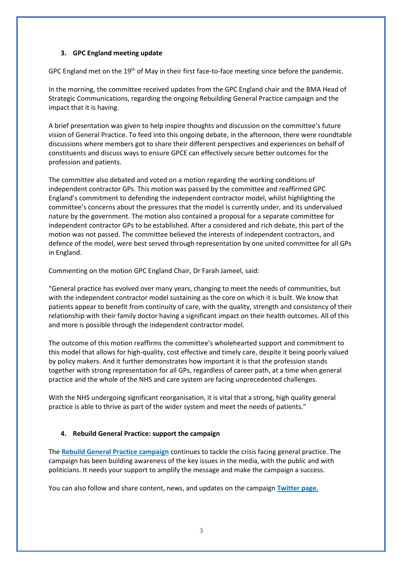#### **3. GPC England meeting update**

GPC England met on the 19<sup>th</sup> of May in their first face-to-face meeting since before the pandemic.

In the morning, the committee received updates from the GPC England chair and the BMA Head of Strategic Communications, regarding the ongoing Rebuilding General Practice campaign and the impact that it is having.

A brief presentation was given to help inspire thoughts and discussion on the committee's future vision of General Practice. To feed into this ongoing debate, in the afternoon, there were roundtable discussions where members got to share their different perspectives and experiences on behalf of constituents and discuss ways to ensure GPCE can effectively secure better outcomes for the profession and patients.

The committee also debated and voted on a motion regarding the working conditions of independent contractor GPs. This motion was passed by the committee and reaffirmed GPC England's commitment to defending the independent contractor model, whilst highlighting the committee's concerns about the pressures that the model is currently under, and its undervalued nature by the government. The motion also contained a proposal for a separate committee for independent contractor GPs to be established. After a considered and rich debate, this part of the motion was not passed. The committee believed the interests of independent contractors, and defence of the model, were best served through representation by one united committee for all GPs in England.

Commenting on the motion GPC England Chair, Dr Farah Jameel, said:

"General practice has evolved over many years, changing to meet the needs of communities, but with the independent contractor model sustaining as the core on which it is built. We know that patients appear to benefit from continuity of care, with the quality, strength and consistency of their relationship with their family doctor having a significant impact on their health outcomes. All of this and more is possible through the independent contractor model.

The outcome of this motion reaffirms the committee's wholehearted support and commitment to this model that allows for high-quality, cost effective and timely care, despite it being poorly valued by policy makers. And it further demonstrates how important it is that the profession stands together with strong representation for all GPs, regardless of career path, at a time when general practice and the whole of the NHS and care system are facing unprecedented challenges.

With the NHS undergoing significant reorganisation, it is vital that a strong, high quality general practice is able to thrive as part of the wider system and meet the needs of patients."

# **4. Rebuild General Practice: support the campaign**

The **[Rebuild General Practice campaign](https://bma-mail.org.uk/JVX-7T392-G7LO7P-4RBR12-1/c.aspx)** continues to tackle the crisis facing general practice. The campaign has been building awareness of the key issues in the media, with the public and with politicians. It needs your support to amplify the message and make the campaign a success.

You can also follow and share content, news, and updates on the campaign **[Twitter page.](https://bma-mail.org.uk/JVX-7T392-G7LO7P-4RBR15-1/c.aspx)**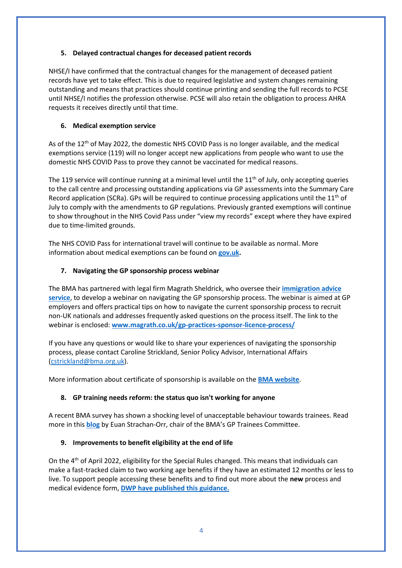#### **5. Delayed contractual changes for deceased patient records**

NHSE/I have confirmed that the contractual changes for the management of deceased patient records have yet to take effect. This is due to required legislative and system changes remaining outstanding and means that practices should continue printing and sending the full records to PCSE until NHSE/I notifies the profession otherwise. PCSE will also retain the obligation to process AHRA requests it receives directly until that time.

#### **6. Medical exemption service**

As of the 12<sup>th</sup> of May 2022, the domestic NHS COVID Pass is no longer available, and the medical exemptions service (119) will no longer accept new applications from people who want to use the domestic NHS COVID Pass to prove they cannot be vaccinated for medical reasons.

The 119 service will continue running at a minimal level until the 11<sup>th</sup> of July, only accepting queries to the call centre and processing outstanding applications via GP assessments into the Summary Care Record application (SCRa). GPs will be required to continue processing applications until the  $11<sup>th</sup>$  of July to comply with the amendments to GP regulations. Previously granted exemptions will continue to show throughout in the NHS Covid Pass under "view my records" except where they have expired due to time-limited grounds.

The NHS COVID Pass for international travel will continue to be available as normal. More information about medical exemptions can be found on **[gov.uk.](https://generalpracticebulletin.cmail20.com/t/d-l-fjhkjjk-jlddotjkh-k)**

#### **7. Navigating the GP sponsorship process webinar**

The BMA has partnered with legal firm Magrath Sheldrick, who oversee their **[immigration advice](https://www.bma.org.uk/advice-and-support/international-doctors/how-the-bma-can-help-you/bma-services-for-international-doctors#heading_08232f663ce04650b4f60f91dc57c99d)  [service](https://www.bma.org.uk/advice-and-support/international-doctors/how-the-bma-can-help-you/bma-services-for-international-doctors#heading_08232f663ce04650b4f60f91dc57c99d)**, to develop a webinar on navigating the GP sponsorship process. The webinar is aimed at GP employers and offers practical tips on how to navigate the current sponsorship process to recruit non-UK nationals and addresses frequently asked questions on the process itself. The link to the webinar is enclosed: **[www.magrath.co.uk/gp-practices-sponsor-licence-process/](http://www.magrath.co.uk/gp-practices-sponsor-licence-process/)**

If you have any questions or would like to share your experiences of navigating the sponsorship process, please contact Caroline Strickland, Senior Policy Advisor, International Affairs [\(cstrickland@bma.org.uk\)](mailto:cstrickland@bma.org.uk).

More information about certificate of sponsorship is available on the **[BMA website](https://www.bma.org.uk/advice-and-support/international-doctors/coming-to-work-in-the-uk/working-in-the-uk-and-your-visa/certificate-of-sponsorship)**.

#### **8. GP training needs reform: the status quo isn't working for anyone**

A recent BMA survey has shown a shocking level of unacceptable behaviour towards trainees. Read more in this **[blog](https://www.bma.org.uk/news-and-opinion/gp-training-needs-reform-the-status-quo-isnt-working-for-anyone)** by Euan Strachan-Orr, chair of the BMA's GP Trainees Committee.

# **9. Improvements to benefit eligibility at the end of life**

On the 4<sup>th</sup> of April 2022, eligibility for the Special Rules changed. This means that individuals can make a fast-tracked claim to two working age benefits if they have an estimated 12 months or less to live. To support people accessing these benefits and to find out more about the **new** process and medical evidence form, **[DWP have published this guidance.](http://www.gov.uk/dwp/special-rules)**